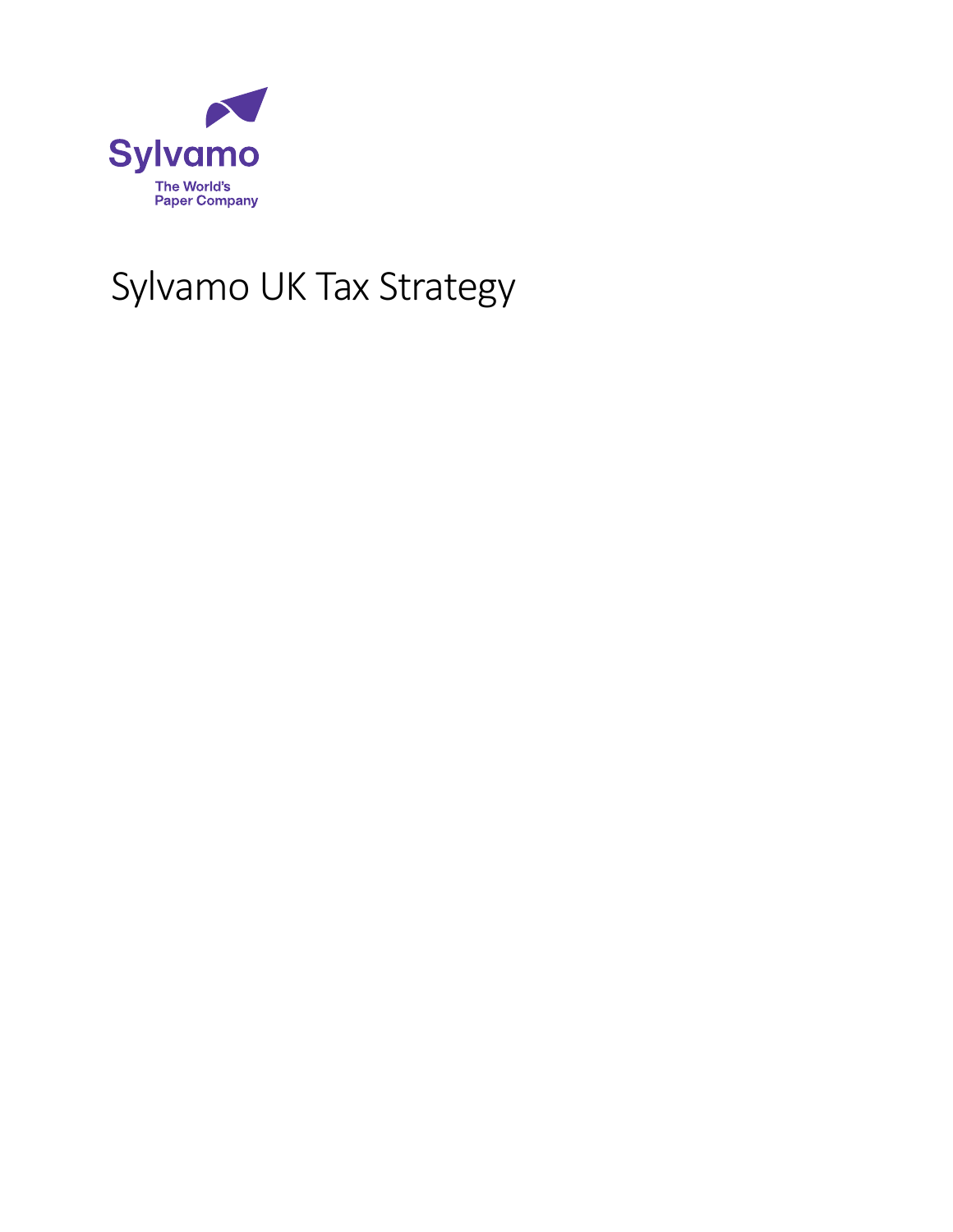

# Sylvamo UK Tax Strategy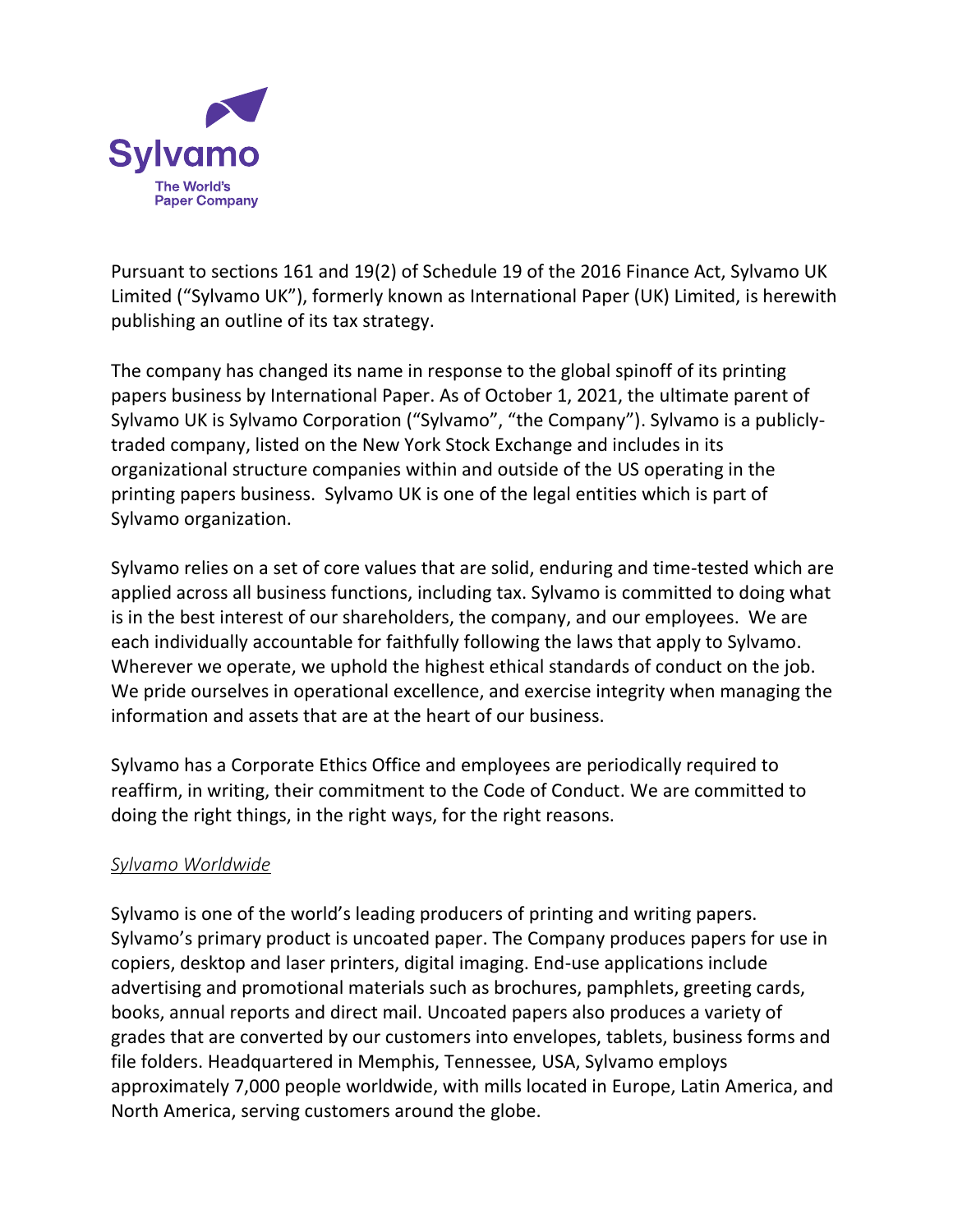

Pursuant to sections 161 and 19(2) of Schedule 19 of the 2016 Finance Act, Sylvamo UK Limited ("Sylvamo UK"), formerly known as International Paper (UK) Limited, is herewith publishing an outline of its tax strategy.

The company has changed its name in response to the global spinoff of its printing papers business by International Paper. As of October 1, 2021, the ultimate parent of Sylvamo UK is Sylvamo Corporation ("Sylvamo", "the Company"). Sylvamo is a publiclytraded company, listed on the New York Stock Exchange and includes in its organizational structure companies within and outside of the US operating in the printing papers business. Sylvamo UK is one of the legal entities which is part of Sylvamo organization.

Sylvamo relies on a set of core values that are solid, enduring and time-tested which are applied across all business functions, including tax. Sylvamo is committed to doing what is in the best interest of our shareholders, the company, and our employees. We are each individually accountable for faithfully following the laws that apply to Sylvamo. Wherever we operate, we uphold the highest ethical standards of conduct on the job. We pride ourselves in operational excellence, and exercise integrity when managing the information and assets that are at the heart of our business.

Sylvamo has a Corporate Ethics Office and employees are periodically required to reaffirm, in writing, their commitment to the Code of Conduct. We are committed to doing the right things, in the right ways, for the right reasons.

## *Sylvamo Worldwide*

Sylvamo is one of the world's leading producers of printing and writing papers. Sylvamo's primary product is uncoated paper. The Company produces papers for use in copiers, desktop and laser printers, digital imaging. End-use applications include advertising and promotional materials such as brochures, pamphlets, greeting cards, books, annual reports and direct mail. Uncoated papers also produces a variety of grades that are converted by our customers into envelopes, tablets, business forms and file folders. Headquartered in Memphis, Tennessee, USA, Sylvamo employs approximately 7,000 people worldwide, with mills located in Europe, Latin America, and North America, serving customers around the globe.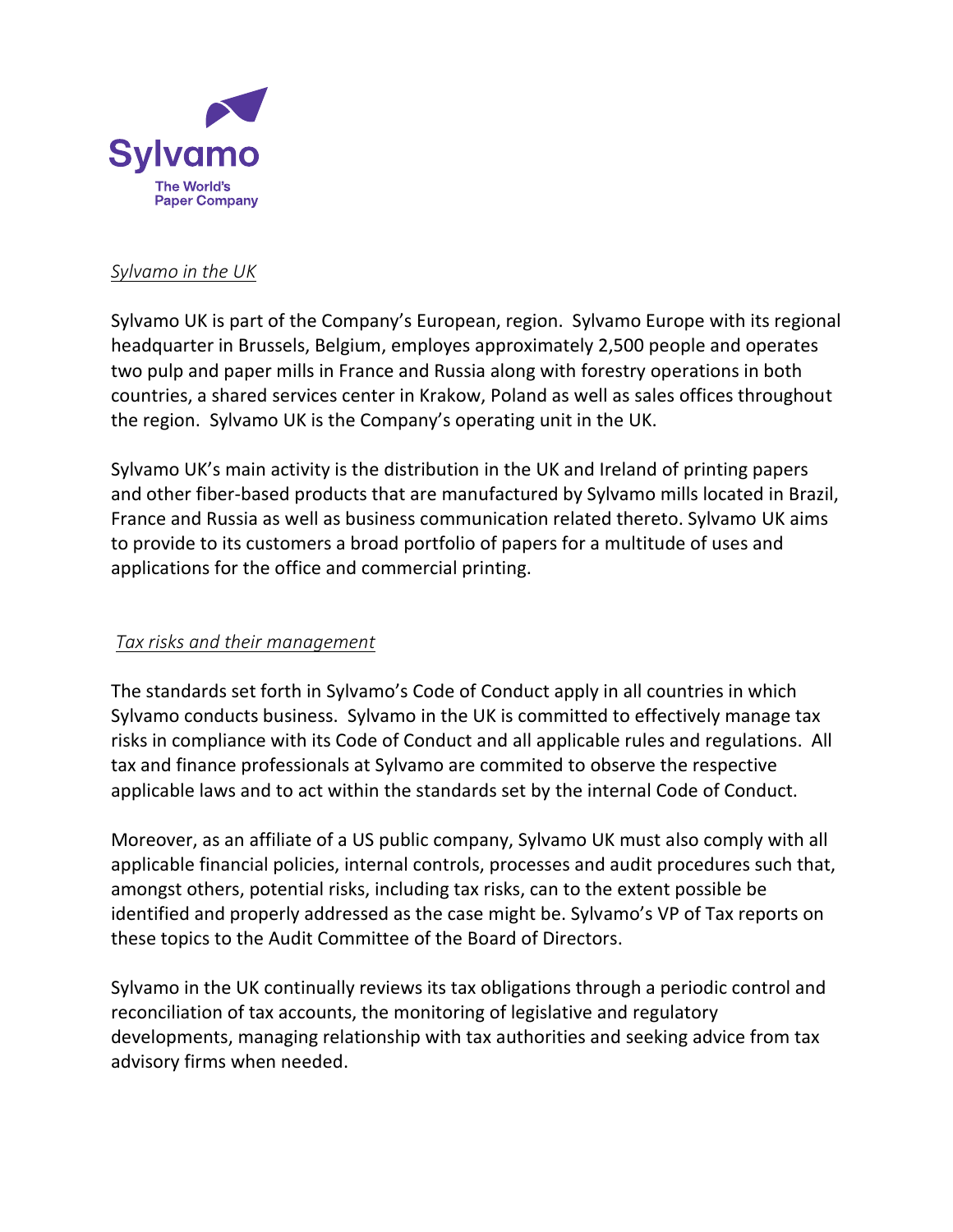

### *Sylvamo in the UK*

Sylvamo UK is part of the Company's European, region. Sylvamo Europe with its regional headquarter in Brussels, Belgium, employes approximately 2,500 people and operates two pulp and paper mills in France and Russia along with forestry operations in both countries, a shared services center in Krakow, Poland as well as sales offices throughout the region. Sylvamo UK is the Company's operating unit in the UK.

Sylvamo UK's main activity is the distribution in the UK and Ireland of printing papers and other fiber-based products that are manufactured by Sylvamo mills located in Brazil, France and Russia as well as business communication related thereto. Sylvamo UK aims to provide to its customers a broad portfolio of papers for a multitude of uses and applications for the office and commercial printing.

## *Tax risks and their management*

The standards set forth in Sylvamo's Code of Conduct apply in all countries in which Sylvamo conducts business. Sylvamo in the UK is committed to effectively manage tax risks in compliance with its Code of Conduct and all applicable rules and regulations. All tax and finance professionals at Sylvamo are commited to observe the respective applicable laws and to act within the standards set by the internal Code of Conduct.

Moreover, as an affiliate of a US public company, Sylvamo UK must also comply with all applicable financial policies, internal controls, processes and audit procedures such that, amongst others, potential risks, including tax risks, can to the extent possible be identified and properly addressed as the case might be. Sylvamo's VP of Tax reports on these topics to the Audit Committee of the Board of Directors.

Sylvamo in the UK continually reviews its tax obligations through a periodic control and reconciliation of tax accounts, the monitoring of legislative and regulatory developments, managing relationship with tax authorities and seeking advice from tax advisory firms when needed.